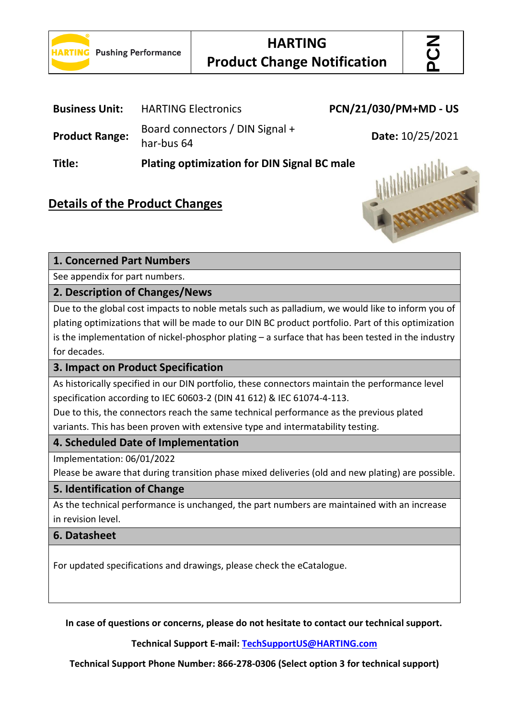

```
PCN
```
 $\overline{a}$ 

| <b>Business Unit:</b> | <b>HARTING Electronics</b>                         | PCN/21/030/PM+MD - US |
|-----------------------|----------------------------------------------------|-----------------------|
| <b>Product Range:</b> | Board connectors / DIN Signal +<br>har-bus 64      | Date: 10/25/2021      |
| Title:                | <b>Plating optimization for DIN Signal BC male</b> |                       |

# **Details of the Product Changes**



### **1. Concerned Part Numbers**

See appendix for part numbers.

#### **2. Description of Changes/News**

Due to the global cost impacts to noble metals such as palladium, we would like to inform you of plating optimizations that will be made to our DIN BC product portfolio. Part of this optimization is the implementation of nickel-phosphor plating – a surface that has been tested in the industry for decades.

#### **3. Impact on Product Specification**

As historically specified in our DIN portfolio, these connectors maintain the performance level specification according to IEC 60603-2 (DIN 41 612) & IEC 61074-4-113.

Due to this, the connectors reach the same technical performance as the previous plated variants. This has been proven with extensive type and intermatability testing.

#### **4. Scheduled Date of Implementation**

Implementation: 06/01/2022

Please be aware that during transition phase mixed deliveries (old and new plating) are possible.

#### **5. Identification of Change**

As the technical performance is unchanged, the part numbers are maintained with an increase in revision level.

#### **6. Datasheet**

For updated specifications and drawings, please check the eCatalogue.

**In case of questions or concerns, please do not hesitate to contact our technical support.**

**Technical Support E-mail: [TechSupportUS@HARTING.com](mailto:TechSupportUS@HARTING.com)**

**Technical Support Phone Number: 866-278-0306 (Select option 3 for technical support)**